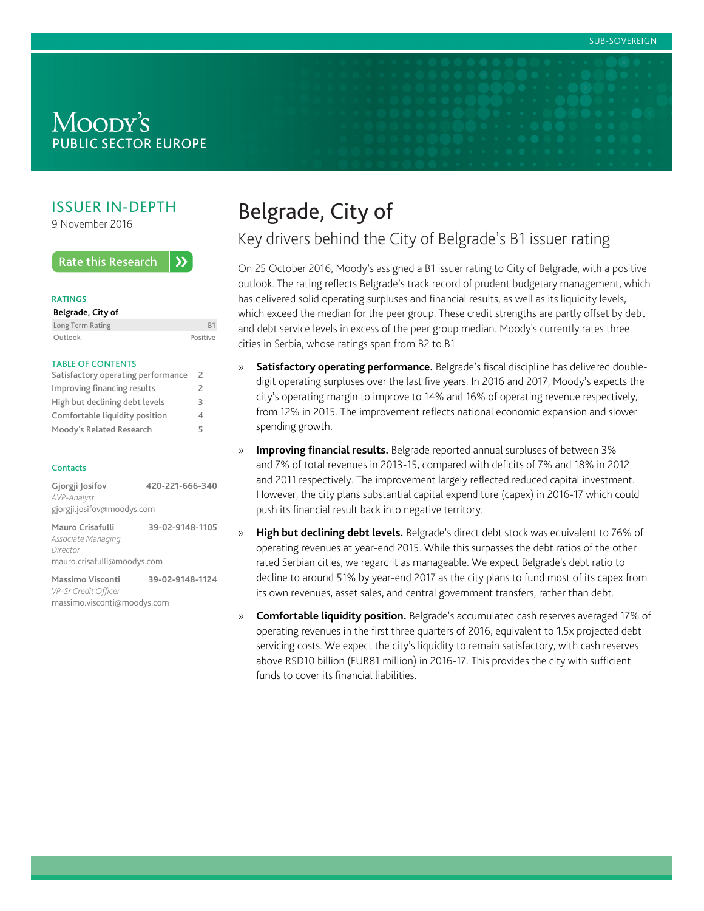## Moody's **PUBLIC SECTOR EUROPE**

## ISSUER IN-DEPTH

9 November 2016

**Rate this Research**  $\lambda$ 

#### **RATINGS**

| Belgrade, City of |          |
|-------------------|----------|
| Long Term Rating  |          |
| Outlook           | Positive |

#### TABLE OF CONTENTS

| Satisfactory operating performance |   |
|------------------------------------|---|
| Improving financing results        | 2 |
| High but declining debt levels     |   |
| Comfortable liquidity position     |   |
| Moody's Related Research           |   |

#### **Contacts**

| Gjorgji Josifov            | 420-221-666-340 |
|----------------------------|-----------------|
| AVP-Analyst                |                 |
| gjorgji.josifov@moodys.com |                 |
| Mauro Crisafulli           | 39-02-9148-1105 |
| Accoriato Managina         |                 |

*Associate Managing Director* mauro.crisafulli@moodys.com

**Massimo Visconti 39-02-9148-1124** *VP-Sr Credit Officer* massimo.visconti@moodys.com

# Belgrade, City of

Key drivers behind the City of Belgrade's B1 issuer rating

On 25 October 2016, Moody's assigned a B1 issuer rating to City of Belgrade, with a positive outlook. The rating reflects Belgrade's track record of prudent budgetary management, which has delivered solid operating surpluses and financial results, as well as its liquidity levels, which exceed the median for the peer group. These credit strengths are partly offset by debt and debt service levels in excess of the peer group median. Moody's currently rates three cities in Serbia, whose ratings span from B2 to B1.

- » **Satisfactory operating performance.** Belgrade's fiscal discipline has delivered doubledigit operating surpluses over the last five years. In 2016 and 2017, Moody's expects the city's operating margin to improve to 14% and 16% of operating revenue respectively, from 12% in 2015. The improvement reflects national economic expansion and slower spending growth.
- » **Improving financial results.** Belgrade reported annual surpluses of between 3% and 7% of total revenues in 2013-15, compared with deficits of 7% and 18% in 2012 and 2011 respectively. The improvement largely reflected reduced capital investment. However, the city plans substantial capital expenditure (capex) in 2016-17 which could push its financial result back into negative territory.
- » **High but declining debt levels.** Belgrade's direct debt stock was equivalent to 76% of operating revenues at year-end 2015. While this surpasses the debt ratios of the other rated Serbian cities, we regard it as manageable. We expect Belgrade's debt ratio to decline to around 51% by year-end 2017 as the city plans to fund most of its capex from its own revenues, asset sales, and central government transfers, rather than debt.
- » **Comfortable liquidity position.** Belgrade's accumulated cash reserves averaged 17% of operating revenues in the first three quarters of 2016, equivalent to 1.5x projected debt servicing costs. We expect the city's liquidity to remain satisfactory, with cash reserves above RSD10 billion (EUR81 million) in 2016-17. This provides the city with sufficient funds to cover its financial liabilities.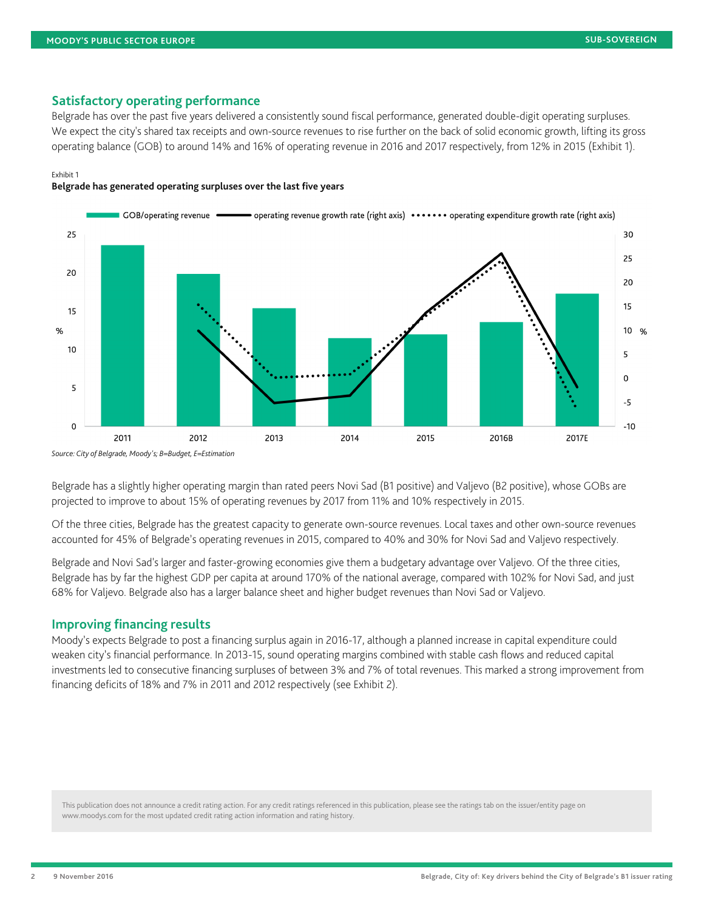### <span id="page-1-0"></span>**Satisfactory operating performance**

Belgrade has over the past five years delivered a consistently sound fiscal performance, generated double-digit operating surpluses. We expect the city's shared tax receipts and own-source revenues to rise further on the back of solid economic growth, lifting its gross operating balance (GOB) to around 14% and 16% of operating revenue in 2016 and 2017 respectively, from 12% in 2015 (Exhibit 1).

#### Exhibit 1

**Belgrade has generated operating surpluses over the last five years**



*Source: City of Belgrade, Moody's; B=Budget, E=Estimation*

Belgrade has a slightly higher operating margin than rated peers Novi Sad (B1 positive) and Valjevo (B2 positive), whose GOBs are projected to improve to about 15% of operating revenues by 2017 from 11% and 10% respectively in 2015.

Of the three cities, Belgrade has the greatest capacity to generate own-source revenues. Local taxes and other own-source revenues accounted for 45% of Belgrade's operating revenues in 2015, compared to 40% and 30% for Novi Sad and Valjevo respectively.

Belgrade and Novi Sad's larger and faster-growing economies give them a budgetary advantage over Valjevo. Of the three cities, Belgrade has by far the highest GDP per capita at around 170% of the national average, compared with 102% for Novi Sad, and just 68% for Valjevo. Belgrade also has a larger balance sheet and higher budget revenues than Novi Sad or Valjevo.

#### <span id="page-1-1"></span>**Improving financing results**

Moody's expects Belgrade to post a financing surplus again in 2016-17, although a planned increase in capital expenditure could weaken city's financial performance. In 2013-15, sound operating margins combined with stable cash flows and reduced capital investments led to consecutive financing surpluses of between 3% and 7% of total revenues. This marked a strong improvement from financing deficits of 18% and 7% in 2011 and 2012 respectively (see Exhibit 2).

This publication does not announce a credit rating action. For any credit ratings referenced in this publication, please see the ratings tab on the issuer/entity page on www.moodys.com for the most updated credit rating action information and rating history.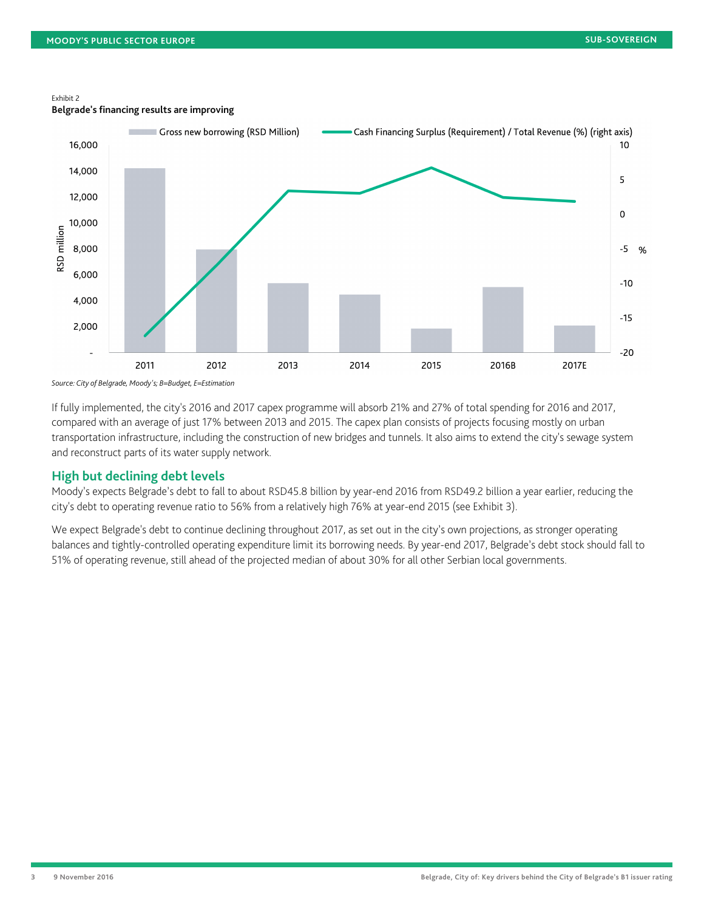#### Exhibit 2

**Belgrade's financing results are improving**



*Source: City of Belgrade, Moody's; B=Budget, E=Estimation*

If fully implemented, the city's 2016 and 2017 capex programme will absorb 21% and 27% of total spending for 2016 and 2017, compared with an average of just 17% between 2013 and 2015. The capex plan consists of projects focusing mostly on urban transportation infrastructure, including the construction of new bridges and tunnels. It also aims to extend the city's sewage system and reconstruct parts of its water supply network.

#### <span id="page-2-0"></span>**High but declining debt levels**

Moody's expects Belgrade's debt to fall to about RSD45.8 billion by year-end 2016 from RSD49.2 billion a year earlier, reducing the city's debt to operating revenue ratio to 56% from a relatively high 76% at year-end 2015 (see Exhibit 3).

We expect Belgrade's debt to continue declining throughout 2017, as set out in the city's own projections, as stronger operating balances and tightly-controlled operating expenditure limit its borrowing needs. By year-end 2017, Belgrade's debt stock should fall to 51% of operating revenue, still ahead of the projected median of about 30% for all other Serbian local governments.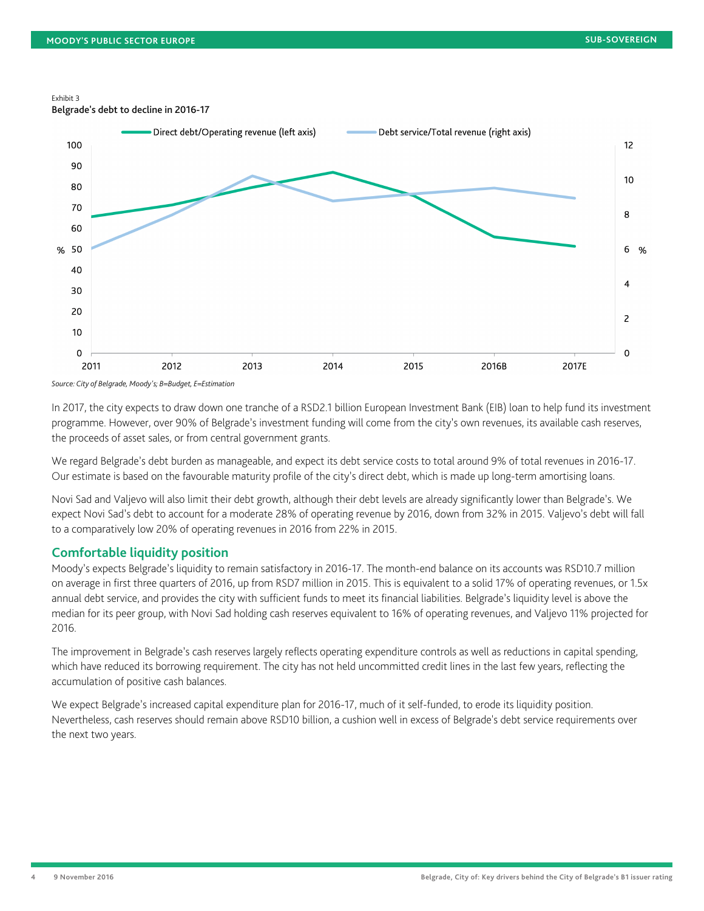#### Exhibit 3

Belgrade's debt to decline in 2016-17



*Source: City of Belgrade, Moody's; B=Budget, E=Estimation*

In 2017, the city expects to draw down one tranche of a RSD2.1 billion European Investment Bank (EIB) loan to help fund its investment programme. However, over 90% of Belgrade's investment funding will come from the city's own revenues, its available cash reserves, the proceeds of asset sales, or from central government grants.

We regard Belgrade's debt burden as manageable, and expect its debt service costs to total around 9% of total revenues in 2016-17. Our estimate is based on the favourable maturity profile of the city's direct debt, which is made up long-term amortising loans.

Novi Sad and Valjevo will also limit their debt growth, although their debt levels are already significantly lower than Belgrade's. We expect Novi Sad's debt to account for a moderate 28% of operating revenue by 2016, down from 32% in 2015. Valjevo's debt will fall to a comparatively low 20% of operating revenues in 2016 from 22% in 2015.

#### <span id="page-3-0"></span>**Comfortable liquidity position**

Moody's expects Belgrade's liquidity to remain satisfactory in 2016-17. The month-end balance on its accounts was RSD10.7 million on average in first three quarters of 2016, up from RSD7 million in 2015. This is equivalent to a solid 17% of operating revenues, or 1.5x annual debt service, and provides the city with sufficient funds to meet its financial liabilities. Belgrade's liquidity level is above the median for its peer group, with Novi Sad holding cash reserves equivalent to 16% of operating revenues, and Valjevo 11% projected for 2016.

The improvement in Belgrade's cash reserves largely reflects operating expenditure controls as well as reductions in capital spending, which have reduced its borrowing requirement. The city has not held uncommitted credit lines in the last few years, reflecting the accumulation of positive cash balances.

We expect Belgrade's increased capital expenditure plan for 2016-17, much of it self-funded, to erode its liquidity position. Nevertheless, cash reserves should remain above RSD10 billion, a cushion well in excess of Belgrade's debt service requirements over the next two years.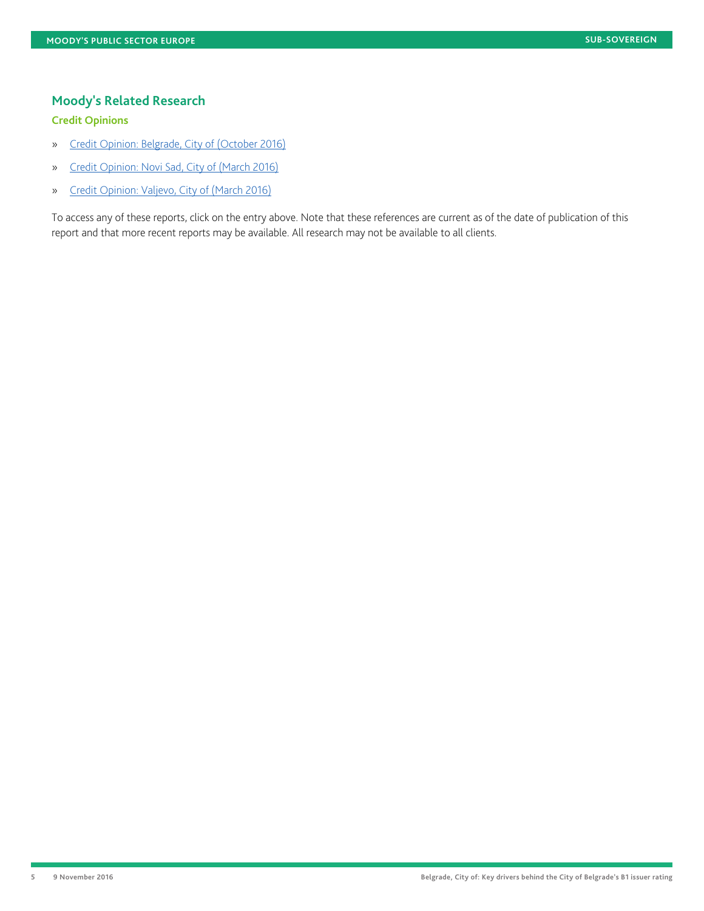## <span id="page-4-0"></span>**Moody's Related Research**

## **Credit Opinions**

- » [Credit Opinion: Belgrade, City of \(October 2016\)](https://www.moodys.com/researchdocumentcontentpage.aspx?docid=PBC_1047462)
- » [Credit Opinion: Novi Sad, City of \(March 2016\)](https://www.moodys.com/researchdocumentcontentpage.aspx?docid=PBC_188647)
- » [Credit Opinion: Valjevo, City of \(March 2016\)](https://www.moodys.com/researchdocumentcontentpage.aspx?docid=PBC_188648)

To access any of these reports, click on the entry above. Note that these references are current as of the date of publication of this report and that more recent reports may be available. All research may not be available to all clients.